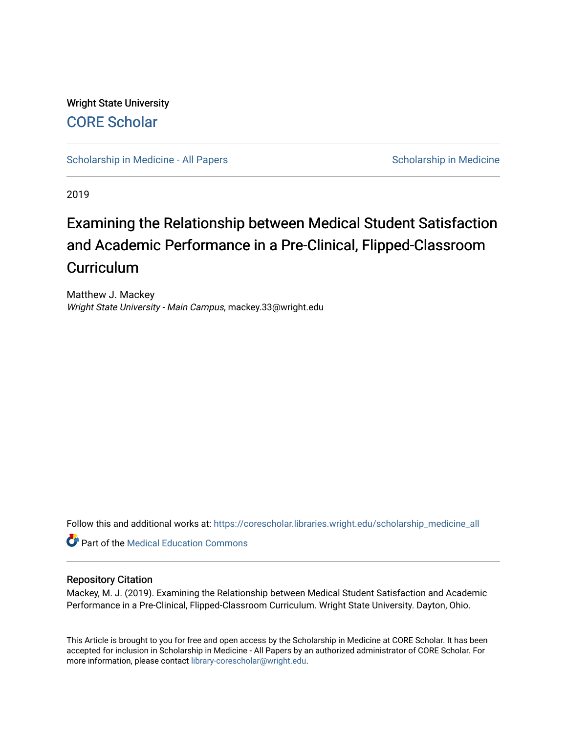Wright State University [CORE Scholar](https://corescholar.libraries.wright.edu/)

[Scholarship in Medicine - All Papers](https://corescholar.libraries.wright.edu/scholarship_medicine_all) Scholarship in Medicine

2019

# Examining the Relationship between Medical Student Satisfaction and Academic Performance in a Pre-Clinical, Flipped-Classroom **Curriculum**

Matthew J. Mackey Wright State University - Main Campus, mackey.33@wright.edu

Follow this and additional works at: [https://corescholar.libraries.wright.edu/scholarship\\_medicine\\_all](https://corescholar.libraries.wright.edu/scholarship_medicine_all?utm_source=corescholar.libraries.wright.edu%2Fscholarship_medicine_all%2F8&utm_medium=PDF&utm_campaign=PDFCoverPages) 

**Part of the Medical Education Commons** 

# Repository Citation

Mackey, M. J. (2019). Examining the Relationship between Medical Student Satisfaction and Academic Performance in a Pre-Clinical, Flipped-Classroom Curriculum. Wright State University. Dayton, Ohio.

This Article is brought to you for free and open access by the Scholarship in Medicine at CORE Scholar. It has been accepted for inclusion in Scholarship in Medicine - All Papers by an authorized administrator of CORE Scholar. For more information, please contact [library-corescholar@wright.edu.](mailto:library-corescholar@wright.edu)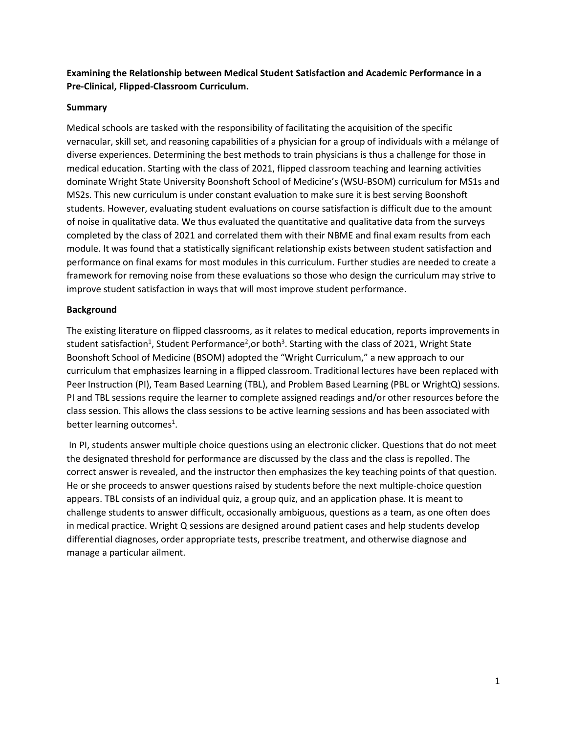**Examining the Relationship between Medical Student Satisfaction and Academic Performance in a Pre-Clinical, Flipped-Classroom Curriculum.**

# **Summary**

Medical schools are tasked with the responsibility of facilitating the acquisition of the specific vernacular, skill set, and reasoning capabilities of a physician for a group of individuals with a mélange of diverse experiences. Determining the best methods to train physicians is thus a challenge for those in medical education. Starting with the class of 2021, flipped classroom teaching and learning activities dominate Wright State University Boonshoft School of Medicine's (WSU-BSOM) curriculum for MS1s and MS2s. This new curriculum is under constant evaluation to make sure it is best serving Boonshoft students. However, evaluating student evaluations on course satisfaction is difficult due to the amount of noise in qualitative data. We thus evaluated the quantitative and qualitative data from the surveys completed by the class of 2021 and correlated them with their NBME and final exam results from each module. It was found that a statistically significant relationship exists between student satisfaction and performance on final exams for most modules in this curriculum. Further studies are needed to create a framework for removing noise from these evaluations so those who design the curriculum may strive to improve student satisfaction in ways that will most improve student performance.

# **Background**

The existing literature on flipped classrooms, as it relates to medical education, reports improvements in student satisfaction<sup>1</sup>, Student Performance<sup>2</sup>, or both<sup>3</sup>. Starting with the class of 2021, Wright State Boonshoft School of Medicine (BSOM) adopted the "Wright Curriculum," a new approach to our curriculum that emphasizes learning in a flipped classroom. Traditional lectures have been replaced with Peer Instruction (PI), Team Based Learning (TBL), and Problem Based Learning (PBL or WrightQ) sessions. PI and TBL sessions require the learner to complete assigned readings and/or other resources before the class session. This allows the class sessions to be active learning sessions and has been associated with better learning outcomes<sup>1</sup>.

In PI, students answer multiple choice questions using an electronic clicker. Questions that do not meet the designated threshold for performance are discussed by the class and the class is repolled. The correct answer is revealed, and the instructor then emphasizes the key teaching points of that question. He or she proceeds to answer questions raised by students before the next multiple-choice question appears. TBL consists of an individual quiz, a group quiz, and an application phase. It is meant to challenge students to answer difficult, occasionally ambiguous, questions as a team, as one often does in medical practice. Wright Q sessions are designed around patient cases and help students develop differential diagnoses, order appropriate tests, prescribe treatment, and otherwise diagnose and manage a particular ailment.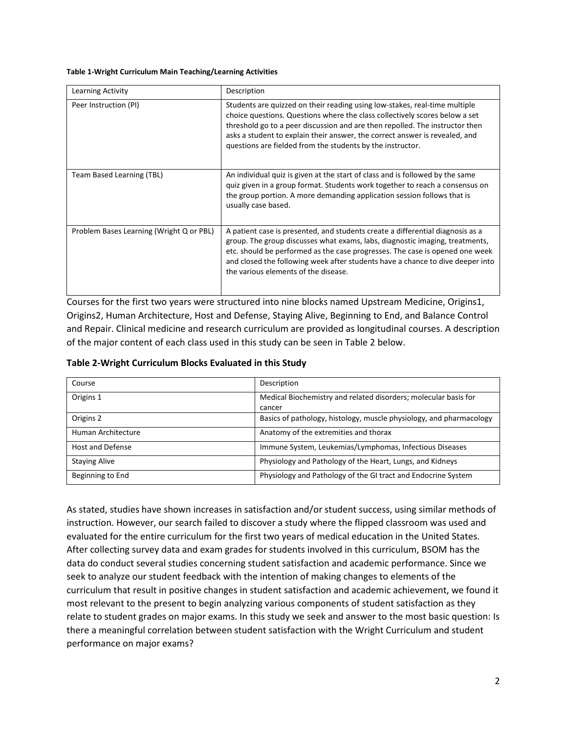#### **Table 1-Wright Curriculum Main Teaching/Learning Activities**

| Learning Activity                        | Description                                                                                                                                                                                                                                                                                                                                                                            |
|------------------------------------------|----------------------------------------------------------------------------------------------------------------------------------------------------------------------------------------------------------------------------------------------------------------------------------------------------------------------------------------------------------------------------------------|
| Peer Instruction (PI)                    | Students are quizzed on their reading using low-stakes, real-time multiple<br>choice questions. Questions where the class collectively scores below a set<br>threshold go to a peer discussion and are then repolled. The instructor then<br>asks a student to explain their answer, the correct answer is revealed, and<br>questions are fielded from the students by the instructor. |
| Team Based Learning (TBL)                | An individual quiz is given at the start of class and is followed by the same<br>quiz given in a group format. Students work together to reach a consensus on<br>the group portion. A more demanding application session follows that is<br>usually case based.                                                                                                                        |
| Problem Bases Learning (Wright Q or PBL) | A patient case is presented, and students create a differential diagnosis as a<br>group. The group discusses what exams, labs, diagnostic imaging, treatments,<br>etc. should be performed as the case progresses. The case is opened one week<br>and closed the following week after students have a chance to dive deeper into<br>the various elements of the disease.               |

Courses for the first two years were structured into nine blocks named Upstream Medicine, Origins1, Origins2, Human Architecture, Host and Defense, Staying Alive, Beginning to End, and Balance Control and Repair. Clinical medicine and research curriculum are provided as longitudinal courses. A description of the major content of each class used in this study can be seen in Table 2 below.

| Course                  | Description                                                         |  |  |  |  |
|-------------------------|---------------------------------------------------------------------|--|--|--|--|
| Origins 1               | Medical Biochemistry and related disorders; molecular basis for     |  |  |  |  |
|                         | cancer                                                              |  |  |  |  |
| Origins 2               | Basics of pathology, histology, muscle physiology, and pharmacology |  |  |  |  |
| Human Architecture      | Anatomy of the extremities and thorax                               |  |  |  |  |
| <b>Host and Defense</b> | Immune System, Leukemias/Lymphomas, Infectious Diseases             |  |  |  |  |
| <b>Staying Alive</b>    | Physiology and Pathology of the Heart, Lungs, and Kidneys           |  |  |  |  |
| Beginning to End        | Physiology and Pathology of the GI tract and Endocrine System       |  |  |  |  |

As stated, studies have shown increases in satisfaction and/or student success, using similar methods of instruction. However, our search failed to discover a study where the flipped classroom was used and evaluated for the entire curriculum for the first two years of medical education in the United States. After collecting survey data and exam grades for students involved in this curriculum, BSOM has the data do conduct several studies concerning student satisfaction and academic performance. Since we seek to analyze our student feedback with the intention of making changes to elements of the curriculum that result in positive changes in student satisfaction and academic achievement, we found it most relevant to the present to begin analyzing various components of student satisfaction as they relate to student grades on major exams. In this study we seek and answer to the most basic question: Is there a meaningful correlation between student satisfaction with the Wright Curriculum and student performance on major exams?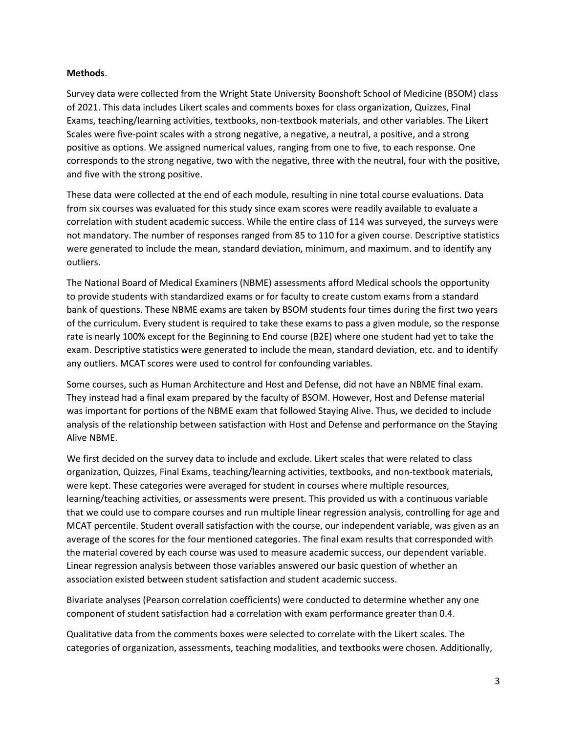## **Methods**.

Survey data were collected from the Wright State University Boonshoft School of Medicine (BSOM) class of 2021. This data includes Likert scales and comments boxes for class organization, Quizzes, Final Exams, teaching/learning activities, textbooks, non-textbook materials, and other variables. The Likert Scales were five-point scales with a strong negative, a negative, a neutral, a positive, and a strong positive as options. We assigned numerical values, ranging from one to five, to each response. One corresponds to the strong negative, two with the negative, three with the neutral, four with the positive, and five with the strong positive.

These data were collected at the end of each module, resulting in nine total course evaluations. Data from six courses was evaluated for this study since exam scores were readily available to evaluate a correlation with student academic success. While the entire class of 114 was surveyed, the surveys were not mandatory. The number of responses ranged from 85 to 110 for a given course. Descriptive statistics were generated to include the mean, standard deviation, minimum, and maximum. and to identify any outliers.

The National Board of Medical Examiners (NBME) assessments afford Medical schools the opportunity to provide students with standardized exams or for faculty to create custom exams from a standard bank of questions. These NBME exams are taken by BSOM students four times during the first two years of the curriculum. Every student is required to take these exams to pass a given module, so the response rate is nearly 100% except for the Beginning to End course (B2E) where one student had yet to take the exam. Descriptive statistics were generated to include the mean, standard deviation, etc. and to identify any outliers. MCAT scores were used to control for confounding variables.

Some courses, such as Human Architecture and Host and Defense, did not have an NBME final exam. They instead had a final exam prepared by the faculty of BSOM. However, Host and Defense material was important for portions of the NBME exam that followed Staying Alive. Thus, we decided to include analysis of the relationship between satisfaction with Host and Defense and performance on the Staying Alive NBME.

We first decided on the survey data to include and exclude. Likert scales that were related to class organization, Quizzes, Final Exams, teaching/learning activities, textbooks, and non-textbook materials, were kept. These categories were averaged for student in courses where multiple resources, learning/teaching activities, or assessments were present. This provided us with a continuous variable that we could use to compare courses and run multiple linear regression analysis, controlling for age and MCAT percentile. Student overall satisfaction with the course, our independent variable, was given as an average of the scores for the four mentioned categories. The final exam results that corresponded with the material covered by each course was used to measure academic success, our dependent variable. Linear regression analysis between those variables answered our basic question of whether an association existed between student satisfaction and student academic success.

Bivariate analyses (Pearson correlation coefficients) were conducted to determine whether any one component of student satisfaction had a correlation with exam performance greater than 0.4.

Qualitative data from the comments boxes were selected to correlate with the Likert scales. The categories of organization, assessments, teaching modalities, and textbooks were chosen. Additionally,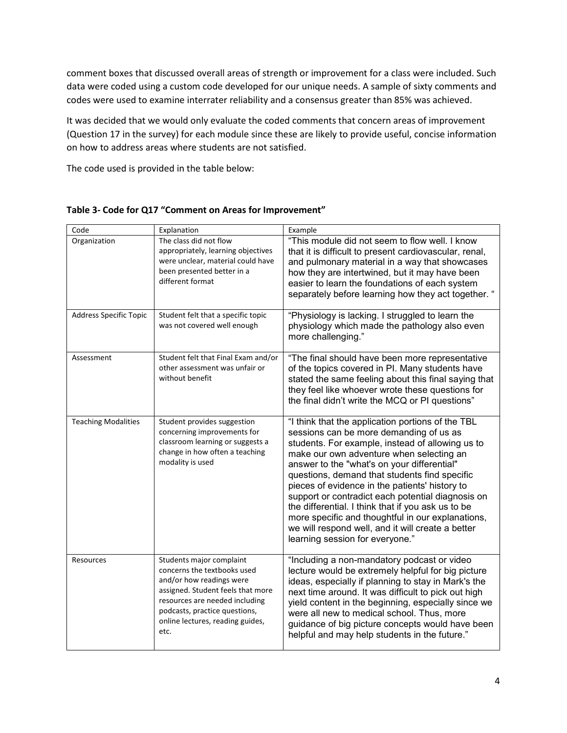comment boxes that discussed overall areas of strength or improvement for a class were included. Such data were coded using a custom code developed for our unique needs. A sample of sixty comments and codes were used to examine interrater reliability and a consensus greater than 85% was achieved.

It was decided that we would only evaluate the coded comments that concern areas of improvement (Question 17 in the survey) for each module since these are likely to provide useful, concise information on how to address areas where students are not satisfied.

The code used is provided in the table below:

| Code                          | Explanation                                                                                                                                                                                                                             | Example                                                                                                                                                                                                                                                                                                                                                                                                                                                                                                                                                                                                |
|-------------------------------|-----------------------------------------------------------------------------------------------------------------------------------------------------------------------------------------------------------------------------------------|--------------------------------------------------------------------------------------------------------------------------------------------------------------------------------------------------------------------------------------------------------------------------------------------------------------------------------------------------------------------------------------------------------------------------------------------------------------------------------------------------------------------------------------------------------------------------------------------------------|
| Organization                  | The class did not flow<br>appropriately, learning objectives<br>were unclear, material could have<br>been presented better in a<br>different format                                                                                     | "This module did not seem to flow well. I know<br>that it is difficult to present cardiovascular, renal,<br>and pulmonary material in a way that showcases<br>how they are intertwined, but it may have been<br>easier to learn the foundations of each system<br>separately before learning how they act together. "                                                                                                                                                                                                                                                                                  |
| <b>Address Specific Topic</b> | Student felt that a specific topic<br>was not covered well enough                                                                                                                                                                       | "Physiology is lacking. I struggled to learn the<br>physiology which made the pathology also even<br>more challenging."                                                                                                                                                                                                                                                                                                                                                                                                                                                                                |
| Assessment                    | Student felt that Final Exam and/or<br>other assessment was unfair or<br>without benefit                                                                                                                                                | "The final should have been more representative<br>of the topics covered in PI. Many students have<br>stated the same feeling about this final saying that<br>they feel like whoever wrote these questions for<br>the final didn't write the MCQ or PI questions"                                                                                                                                                                                                                                                                                                                                      |
| <b>Teaching Modalities</b>    | Student provides suggestion<br>concerning improvements for<br>classroom learning or suggests a<br>change in how often a teaching<br>modality is used                                                                                    | "I think that the application portions of the TBL<br>sessions can be more demanding of us as<br>students. For example, instead of allowing us to<br>make our own adventure when selecting an<br>answer to the "what's on your differential"<br>questions, demand that students find specific<br>pieces of evidence in the patients' history to<br>support or contradict each potential diagnosis on<br>the differential. I think that if you ask us to be<br>more specific and thoughtful in our explanations,<br>we will respond well, and it will create a better<br>learning session for everyone." |
| Resources                     | Students major complaint<br>concerns the textbooks used<br>and/or how readings were<br>assigned. Student feels that more<br>resources are needed including<br>podcasts, practice questions,<br>online lectures, reading guides,<br>etc. | "Including a non-mandatory podcast or video<br>lecture would be extremely helpful for big picture<br>ideas, especially if planning to stay in Mark's the<br>next time around. It was difficult to pick out high<br>yield content in the beginning, especially since we<br>were all new to medical school. Thus, more<br>guidance of big picture concepts would have been<br>helpful and may help students in the future."                                                                                                                                                                              |

**Table 3- Code for Q17 "Comment on Areas for Improvement"**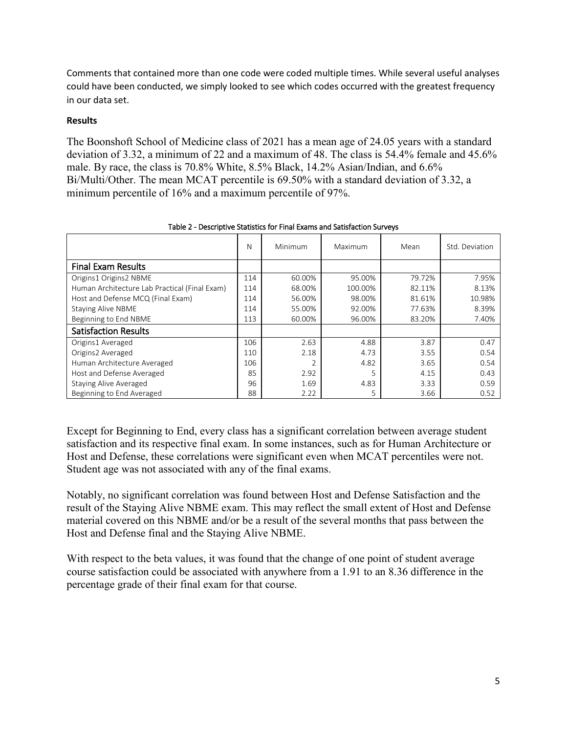Comments that contained more than one code were coded multiple times. While several useful analyses could have been conducted, we simply looked to see which codes occurred with the greatest frequency in our data set.

# **Results**

The Boonshoft School of Medicine class of 2021 has a mean age of 24.05 years with a standard deviation of 3.32, a minimum of 22 and a maximum of 48. The class is 54.4% female and 45.6% male. By race, the class is 70.8% White, 8.5% Black, 14.2% Asian/Indian, and 6.6% Bi/Multi/Other. The mean MCAT percentile is 69.50% with a standard deviation of 3.32, a minimum percentile of 16% and a maximum percentile of 97%.

|                                               | N   | Minimum | Maximum | Mean   | Std. Deviation |
|-----------------------------------------------|-----|---------|---------|--------|----------------|
| <b>Final Exam Results</b>                     |     |         |         |        |                |
| Origins1 Origins2 NBME                        | 114 | 60.00%  | 95.00%  | 79.72% | 7.95%          |
| Human Architecture Lab Practical (Final Exam) | 114 | 68.00%  | 100.00% | 82.11% | 8.13%          |
| Host and Defense MCQ (Final Exam)             | 114 | 56.00%  | 98.00%  | 81.61% | 10.98%         |
| <b>Staying Alive NBME</b>                     | 114 | 55.00%  | 92.00%  | 77.63% | 8.39%          |
| Beginning to End NBME                         | 113 | 60.00%  | 96.00%  | 83.20% | 7.40%          |
| <b>Satisfaction Results</b>                   |     |         |         |        |                |
| Origins1 Averaged                             | 106 | 2.63    | 4.88    | 3.87   | 0.47           |
| Origins2 Averaged                             | 110 | 2.18    | 4.73    | 3.55   | 0.54           |
| Human Architecture Averaged                   |     | 2       | 4.82    | 3.65   | 0.54           |
| Host and Defense Averaged                     |     | 2.92    | 5       | 4.15   | 0.43           |
| Staying Alive Averaged                        |     | 1.69    | 4.83    | 3.33   | 0.59           |
| Beginning to End Averaged                     | 88  | 2.22    | 5       | 3.66   | 0.52           |

Table 2 - Descriptive Statistics for Final Exams and Satisfaction Surveys

Except for Beginning to End, every class has a significant correlation between average student satisfaction and its respective final exam. In some instances, such as for Human Architecture or Host and Defense, these correlations were significant even when MCAT percentiles were not. Student age was not associated with any of the final exams.

Notably, no significant correlation was found between Host and Defense Satisfaction and the result of the Staying Alive NBME exam. This may reflect the small extent of Host and Defense material covered on this NBME and/or be a result of the several months that pass between the Host and Defense final and the Staying Alive NBME.

With respect to the beta values, it was found that the change of one point of student average course satisfaction could be associated with anywhere from a 1.91 to an 8.36 difference in the percentage grade of their final exam for that course.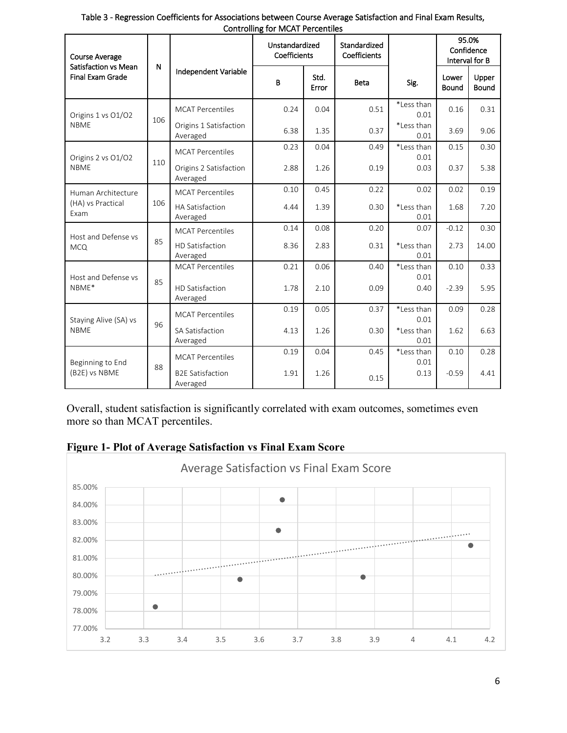| <b>Course Average</b><br>Satisfaction vs Mean | ${\sf N}$ |                                     | <b>TOT THIS IT IT STOCHTOICS</b><br>Unstandardized<br>Coefficients |               | Standardized<br>Coefficients |                    |                       | 95.0%<br>Confidence<br>Interval for B |
|-----------------------------------------------|-----------|-------------------------------------|--------------------------------------------------------------------|---------------|------------------------------|--------------------|-----------------------|---------------------------------------|
| <b>Final Exam Grade</b>                       |           | Independent Variable                | B                                                                  | Std.<br>Error | <b>Beta</b>                  | Sig.               | Lower<br><b>Bound</b> | Upper<br>Bound                        |
| Origins 1 vs O1/O2<br><b>NBME</b>             | 106       | <b>MCAT Percentiles</b>             | 0.24                                                               | 0.04          | 0.51                         | *Less than<br>0.01 | 0.16                  | 0.31                                  |
|                                               |           | Origins 1 Satisfaction<br>Averaged  | 6.38                                                               | 1.35          | 0.37                         | *Less than<br>0.01 | 3.69                  | 9.06                                  |
|                                               |           | <b>MCAT Percentiles</b>             | 0.23                                                               | 0.04          | 0.49                         | *Less than<br>0.01 | 0.15                  | 0.30                                  |
| Origins 2 vs O1/O2<br><b>NBME</b>             | 110       | Origins 2 Satisfaction<br>Averaged  | 2.88                                                               | 1.26          | 0.19                         | 0.03               | 0.37                  | 5.38                                  |
| Human Architecture                            | 106       | <b>MCAT Percentiles</b>             | 0.10                                                               | 0.45          | 0.22                         | 0.02               | 0.02                  | 0.19                                  |
| (HA) vs Practical<br>Exam                     |           | <b>HA Satisfaction</b><br>Averaged  | 4.44                                                               | 1.39          | 0.30                         | *Less than<br>0.01 | 1.68                  | 7.20                                  |
| Host and Defense vs<br><b>MCQ</b>             | 85        | <b>MCAT Percentiles</b>             | 0.14                                                               | 0.08          | 0.20                         | 0.07               | $-0.12$               | 0.30                                  |
|                                               |           | HD Satisfaction<br>Averaged         | 8.36                                                               | 2.83          | 0.31                         | *Less than<br>0.01 | 2.73                  | 14.00                                 |
| Host and Defense vs<br>NBME*                  | 85        | <b>MCAT Percentiles</b>             | 0.21                                                               | 0.06          | 0.40                         | *Less than<br>0.01 | 0.10                  | 0.33                                  |
|                                               |           | HD Satisfaction<br>Averaged         | 1.78                                                               | 2.10          | 0.09                         | 0.40               | $-2.39$               | 5.95                                  |
| Staying Alive (SA) vs<br><b>NBME</b>          |           | <b>MCAT Percentiles</b>             | 0.19                                                               | 0.05          | 0.37                         | *Less than<br>0.01 | 0.09                  | 0.28                                  |
|                                               | 96        | <b>SA Satisfaction</b><br>Averaged  | 4.13                                                               | 1.26          | 0.30                         | *Less than<br>0.01 | 1.62                  | 6.63                                  |
| Beginning to End<br>(B2E) vs NBME             | 88        | <b>MCAT Percentiles</b>             | 0.19                                                               | 0.04          | 0.45                         | *Less than<br>0.01 | 0.10                  | 0.28                                  |
|                                               |           | <b>B2E Satisfaction</b><br>Averaged | 1.91                                                               | 1.26          | 0.15                         | 0.13               | $-0.59$               | 4.41                                  |

Table 3 - Regression Coefficients for Associations between Course Average Satisfaction and Final Exam Results, Controlling for MCAT Percentiles

Overall, student satisfaction is significantly correlated with exam outcomes, sometimes even more so than MCAT percentiles.



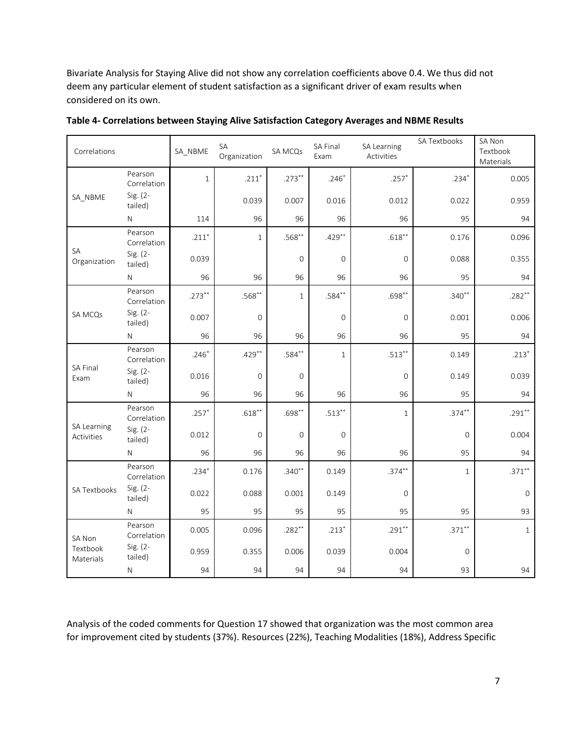Bivariate Analysis for Staying Alive did not show any correlation coefficients above 0.4. We thus did not deem any particular element of student satisfaction as a significant driver of exam results when considered on its own.

| Correlations              |                        | SA NBME   | SA<br>Organization | SA MCQs        | SA Final<br>Exam    | SA Learning<br>Activities | SA Textbooks | SA Non<br>Textbook<br>Materials |
|---------------------------|------------------------|-----------|--------------------|----------------|---------------------|---------------------------|--------------|---------------------------------|
| SA NBME                   | Pearson<br>Correlation | $1\,$     | $.211*$            | $.273***$      | $.246*$             | $.257*$                   | $.234*$      | 0.005                           |
|                           | Sig. (2-<br>tailed)    |           | 0.039              | 0.007          | 0.016               | 0.012                     | 0.022        | 0.959                           |
|                           | ${\sf N}$              | 114       | 96                 | 96             | 96                  | 96                        | 95           | 94                              |
|                           | Pearson<br>Correlation | $.211*$   | $\mathbf{1}$       | $.568**$       | $.429**$            | $.618***$                 | 0.176        | 0.096                           |
| SA<br>Organization        | Sig. (2-<br>tailed)    | 0.039     |                    | $\overline{0}$ | 0                   | $\mathsf{O}\xspace$       | 0.088        | 0.355                           |
|                           | ${\sf N}$              | 96        | 96                 | 96             | 96                  | 96                        | 95           | 94                              |
|                           | Pearson<br>Correlation | $.273***$ | $.568**$           | $\mathbf{1}$   | $.584**$            | $.698**$                  | $.340**$     | $.282**$                        |
| SA MCQs                   | Sig. (2-<br>tailed)    | 0.007     | $\overline{0}$     |                | $\mathsf{O}\xspace$ | $\mathbf{O}$              | 0.001        | 0.006                           |
|                           | ${\sf N}$              | 96        | 96                 | 96             | 96                  | 96                        | 95           | 94                              |
|                           | Pearson<br>Correlation | $.246*$   | $.429**$           | $.584**$       | $\mathbf{1}$        | $.513***$                 | 0.149        | $.213*$                         |
| SA Final<br>Exam          | Sig. (2-<br>tailed)    | 0.016     | $\overline{0}$     | $\overline{0}$ |                     | $\mathbf{0}$              | 0.149        | 0.039                           |
|                           | ${\sf N}$              | 96        | 96                 | 96             | 96                  | 96                        | 95           | 94                              |
|                           | Pearson<br>Correlation | $.257*$   | $.618**$           | $.698**$       | $.513**$            | $\mathbf{1}$              | $.374**$     | $.291**$                        |
| SA Learning<br>Activities | Sig. (2-<br>tailed)    | 0.012     | $\mathbf 0$        | $\overline{0}$ | $\mathsf{O}\xspace$ |                           | $\mathbf{0}$ | 0.004                           |
|                           | $\mathsf N$            | 96        | 96                 | 96             | 96                  | 96                        | 95           | 94                              |
|                           | Pearson<br>Correlation | $.234*$   | 0.176              | $.340**$       | 0.149               | $.374***$                 | $\mathbf{1}$ | $.371***$                       |
| SA Textbooks              | Sig. (2-<br>tailed)    | 0.022     | 0.088              | 0.001          | 0.149               | $\mathbf 0$               |              | $\mathbf{O}$                    |
|                           | ${\sf N}$              | 95        | 95                 | 95             | 95                  | 95                        | 95           | 93                              |
| SA Non                    | Pearson<br>Correlation | 0.005     | 0.096              | $.282**$       | $.213*$             | $.291***$                 | $.371***$    | $\mathbf{1}$                    |
| Textbook<br>Materials     | Sig. (2-<br>tailed)    | 0.959     | 0.355              | 0.006          | 0.039               | 0.004                     | $\mathbf{0}$ |                                 |
|                           | ${\sf N}$              | 94        | 94                 | 94             | 94                  | 94                        | 93           | 94                              |

**Table 4- Correlations between Staying Alive Satisfaction Category Averages and NBME Results**

Analysis of the coded comments for Question 17 showed that organization was the most common area for improvement cited by students (37%). Resources (22%), Teaching Modalities (18%), Address Specific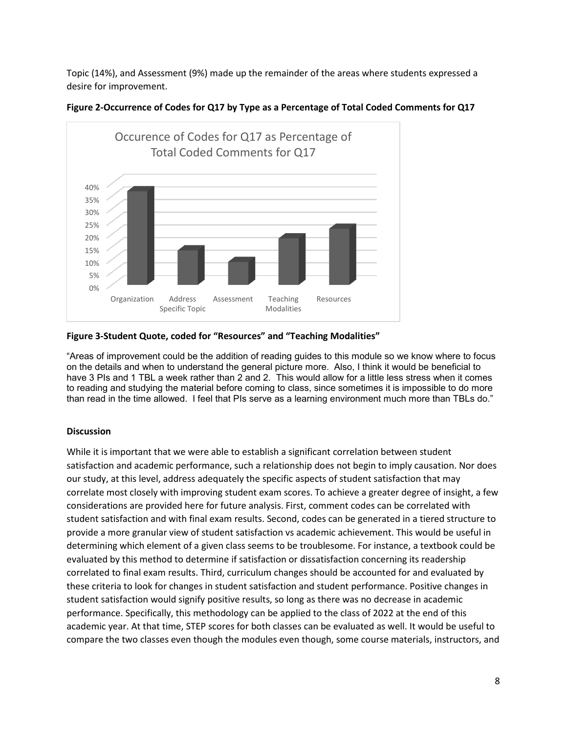Topic (14%), and Assessment (9%) made up the remainder of the areas where students expressed a desire for improvement.



**Figure 2-Occurrence of Codes for Q17 by Type as a Percentage of Total Coded Comments for Q17**

# **Figure 3-Student Quote, coded for "Resources" and "Teaching Modalities"**

"Areas of improvement could be the addition of reading guides to this module so we know where to focus on the details and when to understand the general picture more. Also, I think it would be beneficial to have 3 PIs and 1 TBL a week rather than 2 and 2. This would allow for a little less stress when it comes to reading and studying the material before coming to class, since sometimes it is impossible to do more than read in the time allowed. I feel that PIs serve as a learning environment much more than TBLs do."

# **Discussion**

While it is important that we were able to establish a significant correlation between student satisfaction and academic performance, such a relationship does not begin to imply causation. Nor does our study, at this level, address adequately the specific aspects of student satisfaction that may correlate most closely with improving student exam scores. To achieve a greater degree of insight, a few considerations are provided here for future analysis. First, comment codes can be correlated with student satisfaction and with final exam results. Second, codes can be generated in a tiered structure to provide a more granular view of student satisfaction vs academic achievement. This would be useful in determining which element of a given class seems to be troublesome. For instance, a textbook could be evaluated by this method to determine if satisfaction or dissatisfaction concerning its readership correlated to final exam results. Third, curriculum changes should be accounted for and evaluated by these criteria to look for changes in student satisfaction and student performance. Positive changes in student satisfaction would signify positive results, so long as there was no decrease in academic performance. Specifically, this methodology can be applied to the class of 2022 at the end of this academic year. At that time, STEP scores for both classes can be evaluated as well. It would be useful to compare the two classes even though the modules even though, some course materials, instructors, and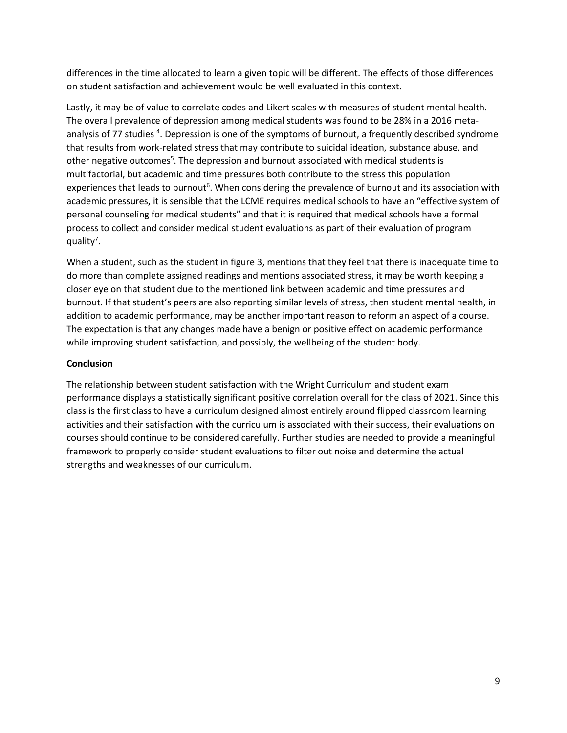differences in the time allocated to learn a given topic will be different. The effects of those differences on student satisfaction and achievement would be well evaluated in this context.

Lastly, it may be of value to correlate codes and Likert scales with measures of student mental health. The overall prevalence of depression among medical students was found to be 28% in a 2016 metaanalysis of 77 studies <sup>4</sup>. Depression is one of the symptoms of burnout, a frequently described syndrome that results from work-related stress that may contribute to suicidal ideation, substance abuse, and other negative outcomes<sup>5</sup>. The depression and burnout associated with medical students is multifactorial, but academic and time pressures both contribute to the stress this population experiences that leads to burnout<sup>6</sup>. When considering the prevalence of burnout and its association with academic pressures, it is sensible that the LCME requires medical schools to have an "effective system of personal counseling for medical students" and that it is required that medical schools have a formal process to collect and consider medical student evaluations as part of their evaluation of program quality<sup>7</sup>.

When a student, such as the student in figure 3, mentions that they feel that there is inadequate time to do more than complete assigned readings and mentions associated stress, it may be worth keeping a closer eye on that student due to the mentioned link between academic and time pressures and burnout. If that student's peers are also reporting similar levels of stress, then student mental health, in addition to academic performance, may be another important reason to reform an aspect of a course. The expectation is that any changes made have a benign or positive effect on academic performance while improving student satisfaction, and possibly, the wellbeing of the student body.

# **Conclusion**

The relationship between student satisfaction with the Wright Curriculum and student exam performance displays a statistically significant positive correlation overall for the class of 2021. Since this class is the first class to have a curriculum designed almost entirely around flipped classroom learning activities and their satisfaction with the curriculum is associated with their success, their evaluations on courses should continue to be considered carefully. Further studies are needed to provide a meaningful framework to properly consider student evaluations to filter out noise and determine the actual strengths and weaknesses of our curriculum.